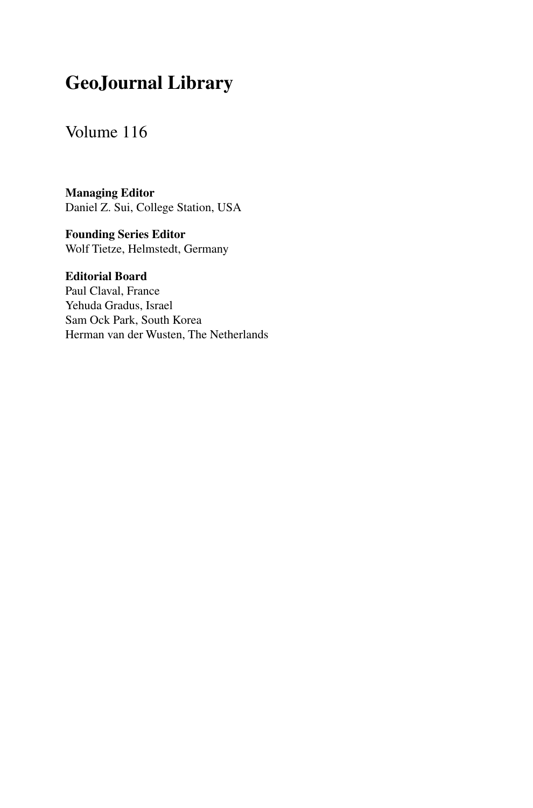# **GeoJournal Library**

#### Volume 116

**Managing Editor** Daniel Z. Sui, College Station, USA

**Founding Series Editor** Wolf Tietze, Helmstedt, Germany

#### **Editorial Board**

Paul Claval, France Yehuda Gradus, Israel Sam Ock Park, South Korea Herman van der Wusten, The Netherlands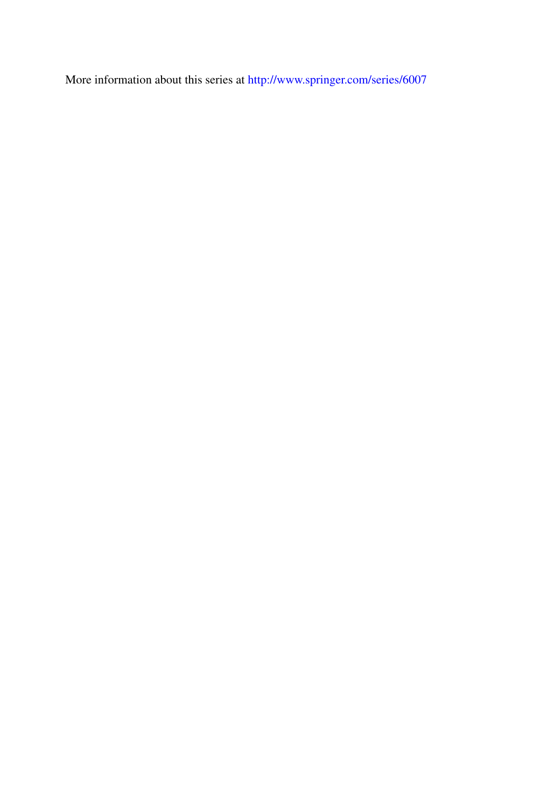More information about this series at<http://www.springer.com/series/6007>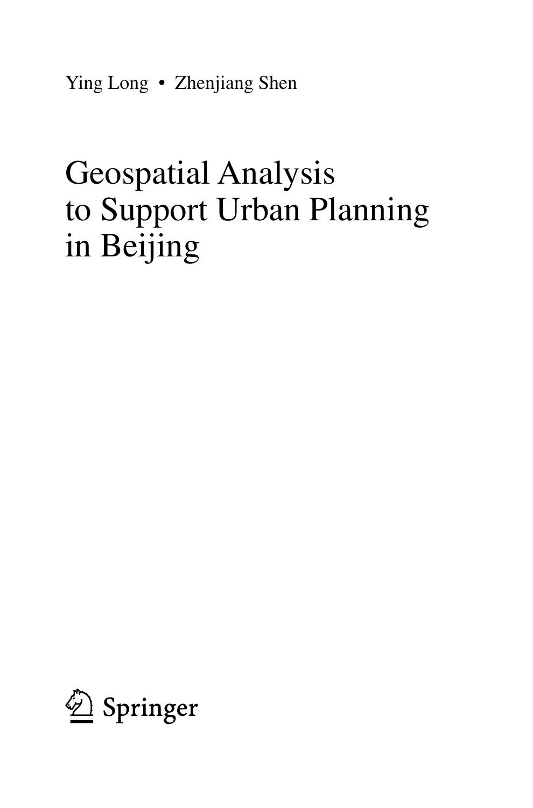Ying Long • Zhenjiang Shen

# Geospatial Analysis to Support Urban Planning in Beijing

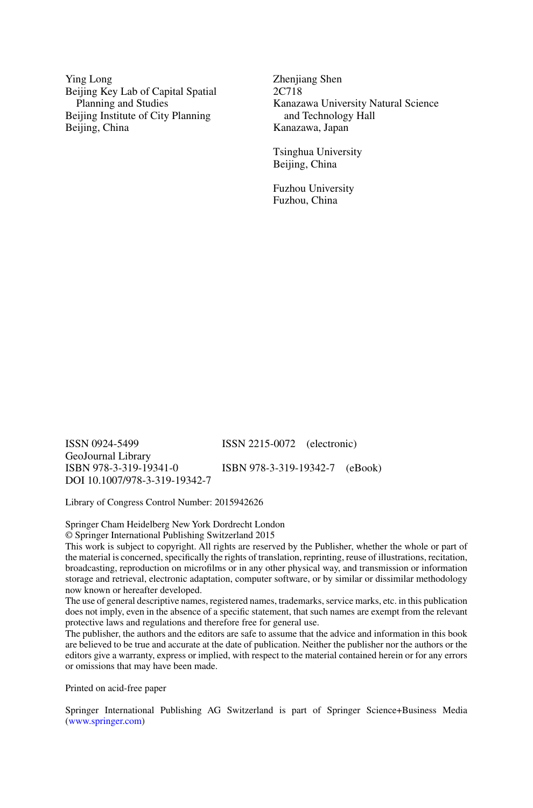Ying Long Beijing Key Lab of Capital Spatial Planning and Studies Beijing Institute of City Planning Beijing, China

 Zhenjiang Shen 2C718 Kanazawa University Natural Science and Technology Hall Kanazawa, Japan

 Tsinghua University Beijing, China

 Fuzhou University Fuzhou, China

 ISSN 0924-5499 ISSN 2215-0072 (electronic) GeoJournal Library<br>ISBN 978-3-319-19341-0 ISBN 978-3-319-19342-7 (eBook) DOI 10.1007/978-3-319-19342-7

Library of Congress Control Number: 2015942626

 Springer Cham Heidelberg New York Dordrecht London © Springer International Publishing Switzerland 2015

 This work is subject to copyright. All rights are reserved by the Publisher, whether the whole or part of the material is concerned, specifically the rights of translation, reprinting, reuse of illustrations, recitation, broadcasting, reproduction on microfilms or in any other physical way, and transmission or information storage and retrieval, electronic adaptation, computer software, or by similar or dissimilar methodology now known or hereafter developed.

 The use of general descriptive names, registered names, trademarks, service marks, etc. in this publication does not imply, even in the absence of a specific statement, that such names are exempt from the relevant protective laws and regulations and therefore free for general use.

 The publisher, the authors and the editors are safe to assume that the advice and information in this book are believed to be true and accurate at the date of publication. Neither the publisher nor the authors or the editors give a warranty, express or implied, with respect to the material contained herein or for any errors or omissions that may have been made.

Printed on acid-free paper

 Springer International Publishing AG Switzerland is part of Springer Science+Business Media ([www.springer.com\)](www.springer.com)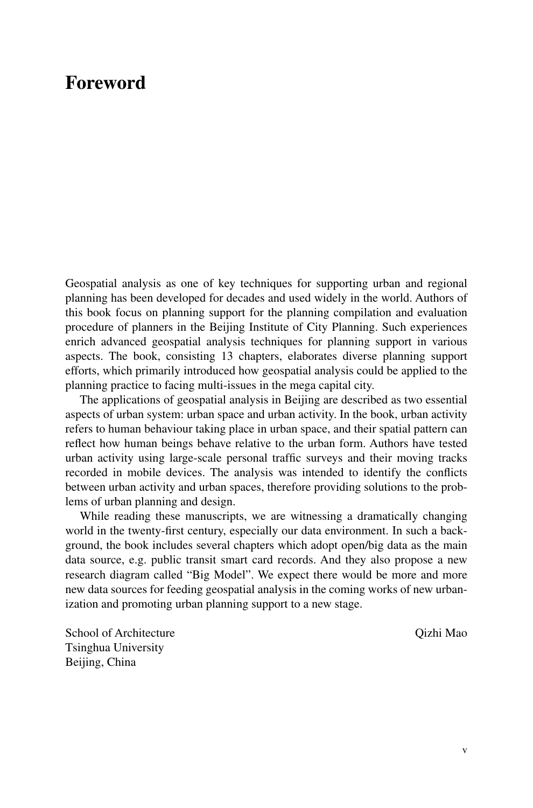#### **Foreword**

 Geospatial analysis as one of key techniques for supporting urban and regional planning has been developed for decades and used widely in the world. Authors of this book focus on planning support for the planning compilation and evaluation procedure of planners in the Beijing Institute of City Planning. Such experiences enrich advanced geospatial analysis techniques for planning support in various aspects. The book, consisting 13 chapters, elaborates diverse planning support efforts, which primarily introduced how geospatial analysis could be applied to the planning practice to facing multi-issues in the mega capital city.

 The applications of geospatial analysis in Beijing are described as two essential aspects of urban system: urban space and urban activity. In the book, urban activity refers to human behaviour taking place in urban space, and their spatial pattern can reflect how human beings behave relative to the urban form. Authors have tested urban activity using large-scale personal traffic surveys and their moving tracks recorded in mobile devices. The analysis was intended to identify the conflicts between urban activity and urban spaces, therefore providing solutions to the problems of urban planning and design.

 While reading these manuscripts, we are witnessing a dramatically changing world in the twenty-first century, especially our data environment. In such a background, the book includes several chapters which adopt open/big data as the main data source, e.g. public transit smart card records. And they also propose a new research diagram called "Big Model". We expect there would be more and more new data sources for feeding geospatial analysis in the coming works of new urbanization and promoting urban planning support to a new stage.

School of Architecture Qizhi Mao Tsinghua University Beijing, China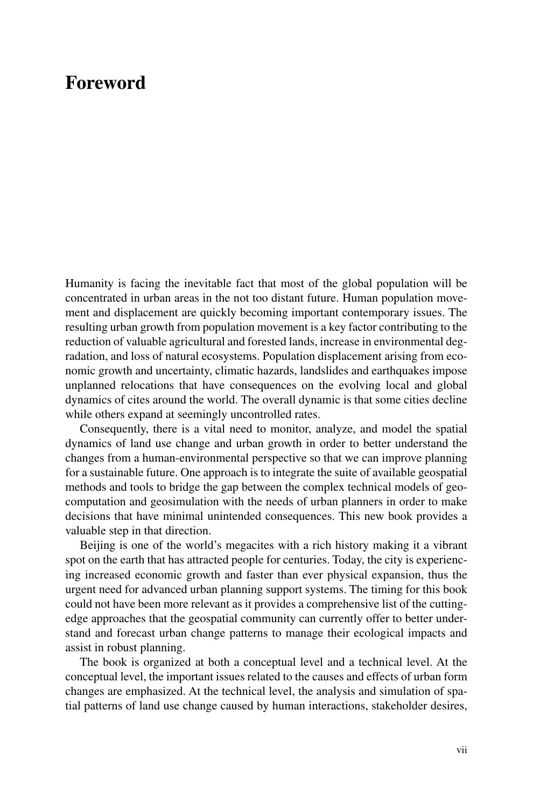#### **Foreword**

 Humanity is facing the inevitable fact that most of the global population will be concentrated in urban areas in the not too distant future. Human population movement and displacement are quickly becoming important contemporary issues. The resulting urban growth from population movement is a key factor contributing to the reduction of valuable agricultural and forested lands, increase in environmental degradation, and loss of natural ecosystems. Population displacement arising from economic growth and uncertainty, climatic hazards, landslides and earthquakes impose unplanned relocations that have consequences on the evolving local and global dynamics of cites around the world. The overall dynamic is that some cities decline while others expand at seemingly uncontrolled rates.

 Consequently, there is a vital need to monitor, analyze, and model the spatial dynamics of land use change and urban growth in order to better understand the changes from a human-environmental perspective so that we can improve planning for a sustainable future. One approach is to integrate the suite of available geospatial methods and tools to bridge the gap between the complex technical models of geocomputation and geosimulation with the needs of urban planners in order to make decisions that have minimal unintended consequences. This new book provides a valuable step in that direction.

 Beijing is one of the world's megacites with a rich history making it a vibrant spot on the earth that has attracted people for centuries. Today, the city is experiencing increased economic growth and faster than ever physical expansion, thus the urgent need for advanced urban planning support systems. The timing for this book could not have been more relevant as it provides a comprehensive list of the cuttingedge approaches that the geospatial community can currently offer to better understand and forecast urban change patterns to manage their ecological impacts and assist in robust planning.

 The book is organized at both a conceptual level and a technical level. At the conceptual level, the important issues related to the causes and effects of urban form changes are emphasized. At the technical level, the analysis and simulation of spatial patterns of land use change caused by human interactions, stakeholder desires,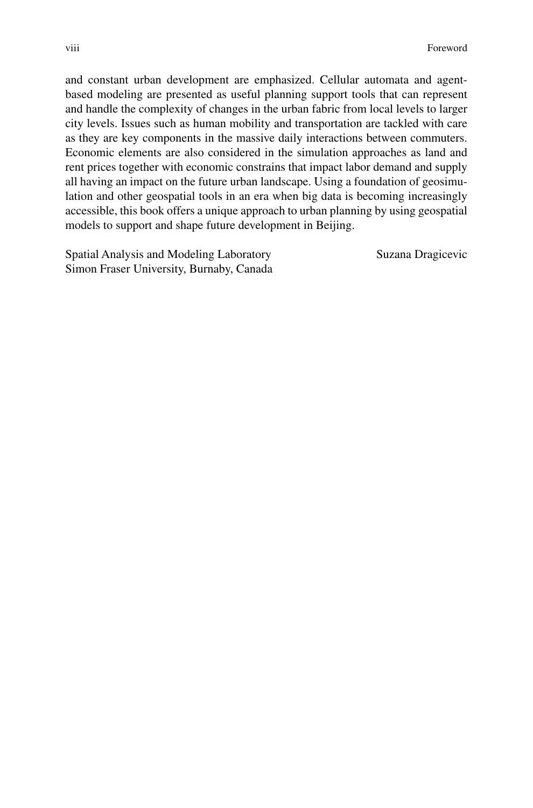and constant urban development are emphasized. Cellular automata and agentbased modeling are presented as useful planning support tools that can represent and handle the complexity of changes in the urban fabric from local levels to larger city levels. Issues such as human mobility and transportation are tackled with care as they are key components in the massive daily interactions between commuters. Economic elements are also considered in the simulation approaches as land and rent prices together with economic constrains that impact labor demand and supply all having an impact on the future urban landscape. Using a foundation of geosimulation and other geospatial tools in an era when big data is becoming increasingly accessible, this book offers a unique approach to urban planning by using geospatial models to support and shape future development in Beijing.

Spatial Analysis and Modeling Laboratory Suzana Dragicevic Simon Fraser University, Burnaby, Canada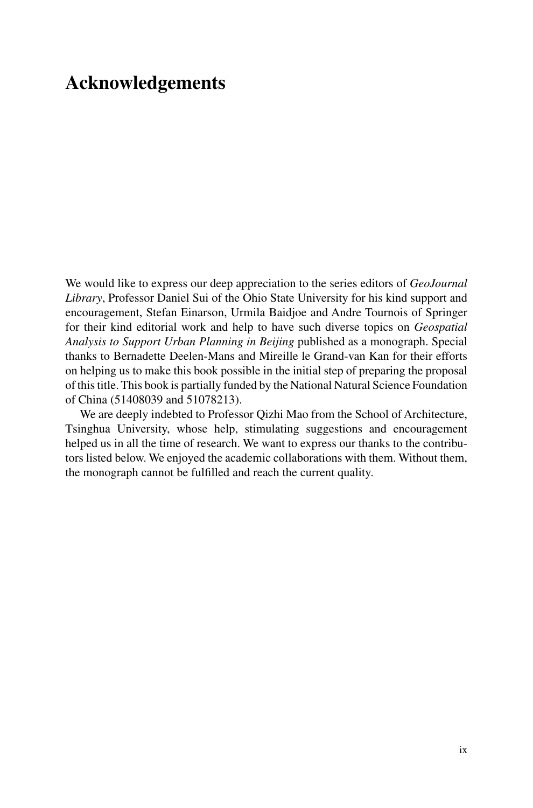#### **Acknowledgements**

 We would like to express our deep appreciation to the series editors of *GeoJournal Library* , Professor Daniel Sui of the Ohio State University for his kind support and encouragement, Stefan Einarson, Urmila Baidjoe and Andre Tournois of Springer for their kind editorial work and help to have such diverse topics on *Geospatial Analysis to Support Urban Planning in Beijing* published as a monograph. Special thanks to Bernadette Deelen-Mans and Mireille le Grand-van Kan for their efforts on helping us to make this book possible in the initial step of preparing the proposal of this title. This book is partially funded by the National Natural Science Foundation of China (51408039 and 51078213).

 We are deeply indebted to Professor Qizhi Mao from the School of Architecture, Tsinghua University, whose help, stimulating suggestions and encouragement helped us in all the time of research. We want to express our thanks to the contributors listed below. We enjoyed the academic collaborations with them. Without them, the monograph cannot be fulfilled and reach the current quality.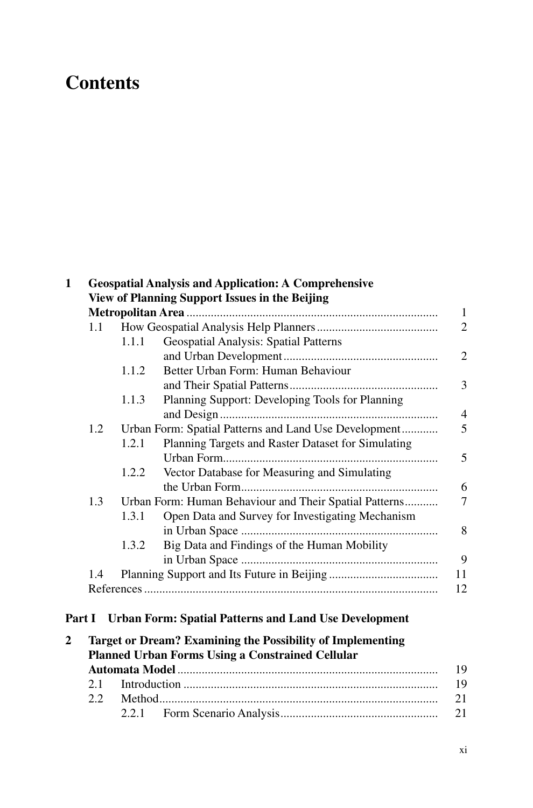## **Contents**

| $\mathbf{1}$ |     |       | <b>Geospatial Analysis and Application: A Comprehensive</b><br><b>View of Planning Support Issues in the Beijing</b> |                |  |
|--------------|-----|-------|----------------------------------------------------------------------------------------------------------------------|----------------|--|
|              |     |       |                                                                                                                      | $\mathbf{1}$   |  |
|              | 1.1 |       |                                                                                                                      |                |  |
|              |     | 1.1.1 | Geospatial Analysis: Spatial Patterns                                                                                |                |  |
|              |     |       |                                                                                                                      | $\overline{2}$ |  |
|              |     | 1.1.2 | Better Urban Form: Human Behaviour                                                                                   |                |  |
|              |     |       |                                                                                                                      | 3              |  |
|              |     | 1.1.3 | Planning Support: Developing Tools for Planning                                                                      |                |  |
|              |     |       |                                                                                                                      | $\overline{4}$ |  |
|              | 1.2 |       | Urban Form: Spatial Patterns and Land Use Development                                                                | 5              |  |
|              |     | 1.2.1 | Planning Targets and Raster Dataset for Simulating                                                                   |                |  |
|              |     |       |                                                                                                                      | 5              |  |
|              |     | 1.2.2 | Vector Database for Measuring and Simulating                                                                         |                |  |
|              |     |       |                                                                                                                      | 6              |  |
|              | 1.3 |       | Urban Form: Human Behaviour and Their Spatial Patterns                                                               |                |  |
|              |     | 1.3.1 | Open Data and Survey for Investigating Mechanism                                                                     |                |  |
|              |     |       |                                                                                                                      | 8              |  |
|              |     | 1.3.2 | Big Data and Findings of the Human Mobility                                                                          |                |  |
|              |     |       |                                                                                                                      | 9              |  |
|              | 1.4 |       |                                                                                                                      | 11             |  |
|              |     |       |                                                                                                                      |                |  |
|              |     |       |                                                                                                                      |                |  |
| Part I       |     |       | <b>Urban Form: Spatial Patterns and Land Use Development</b>                                                         |                |  |
| $\mathbf{2}$ |     |       | <b>Target or Dream? Examining the Possibility of Implementing</b>                                                    |                |  |
|              |     |       | <b>Planned Urban Forms Using a Constrained Cellular</b>                                                              |                |  |
|              |     |       |                                                                                                                      | 19             |  |
|              | 2.1 |       |                                                                                                                      | 19             |  |
|              | 2.2 |       |                                                                                                                      | 21             |  |

2.2.1 Form Scenario Analysis .................................................... 21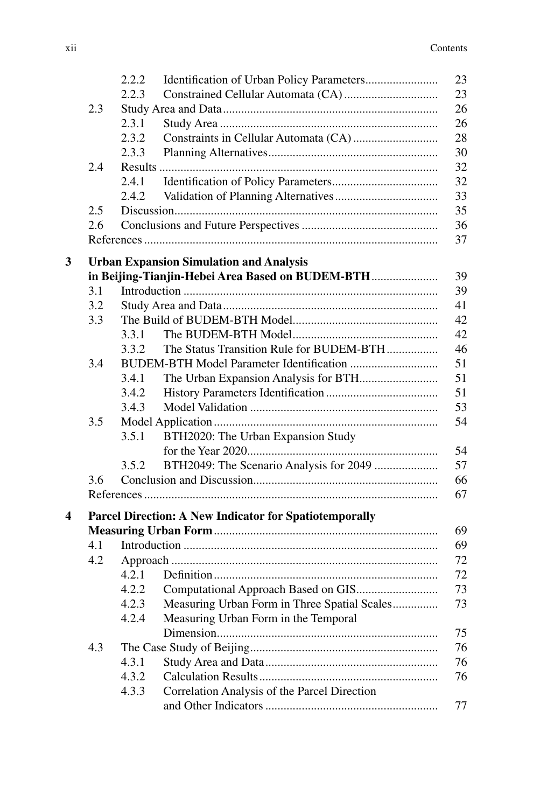|   |     | 2.2.2 |                                                        | 23 |
|---|-----|-------|--------------------------------------------------------|----|
|   |     | 2.2.3 |                                                        | 23 |
|   | 2.3 |       |                                                        | 26 |
|   |     | 2.3.1 |                                                        | 26 |
|   |     | 2.3.2 |                                                        | 28 |
|   |     | 2.3.3 |                                                        | 30 |
|   | 2.4 |       |                                                        | 32 |
|   |     | 2.4.1 |                                                        | 32 |
|   |     | 2.4.2 |                                                        | 33 |
|   | 2.5 |       |                                                        | 35 |
|   | 2.6 |       |                                                        | 36 |
|   |     |       |                                                        | 37 |
| 3 |     |       | <b>Urban Expansion Simulation and Analysis</b>         |    |
|   |     |       | in Beijing-Tianjin-Hebei Area Based on BUDEM-BTH       | 39 |
|   | 3.1 |       |                                                        | 39 |
|   | 3.2 |       |                                                        | 41 |
|   | 3.3 |       |                                                        | 42 |
|   |     | 3.3.1 |                                                        | 42 |
|   |     | 3.3.2 | The Status Transition Rule for BUDEM-BTH               | 46 |
|   | 3.4 |       |                                                        | 51 |
|   |     | 3.4.1 |                                                        | 51 |
|   |     | 3.4.2 |                                                        | 51 |
|   |     | 3.4.3 |                                                        | 53 |
|   | 3.5 |       |                                                        | 54 |
|   |     | 3.5.1 | BTH2020: The Urban Expansion Study                     |    |
|   |     |       |                                                        | 54 |
|   |     | 3.5.2 | BTH2049: The Scenario Analysis for 2049                | 57 |
|   | 3.6 |       |                                                        | 66 |
|   |     |       |                                                        | 67 |
|   |     |       |                                                        |    |
| 4 |     |       | Parcel Direction: A New Indicator for Spatiotemporally |    |
|   |     |       |                                                        | 69 |
|   | 4.1 |       |                                                        | 69 |
|   | 4.2 |       |                                                        | 72 |
|   |     | 4.2.1 |                                                        | 72 |
|   |     | 4.2.2 |                                                        | 73 |
|   |     | 4.2.3 | Measuring Urban Form in Three Spatial Scales           | 73 |
|   |     | 4.2.4 | Measuring Urban Form in the Temporal                   |    |
|   |     |       |                                                        | 75 |
|   | 4.3 |       |                                                        | 76 |
|   |     | 4.3.1 |                                                        | 76 |
|   |     | 4.3.2 |                                                        | 76 |
|   |     | 4.3.3 | Correlation Analysis of the Parcel Direction           |    |
|   |     |       |                                                        | 77 |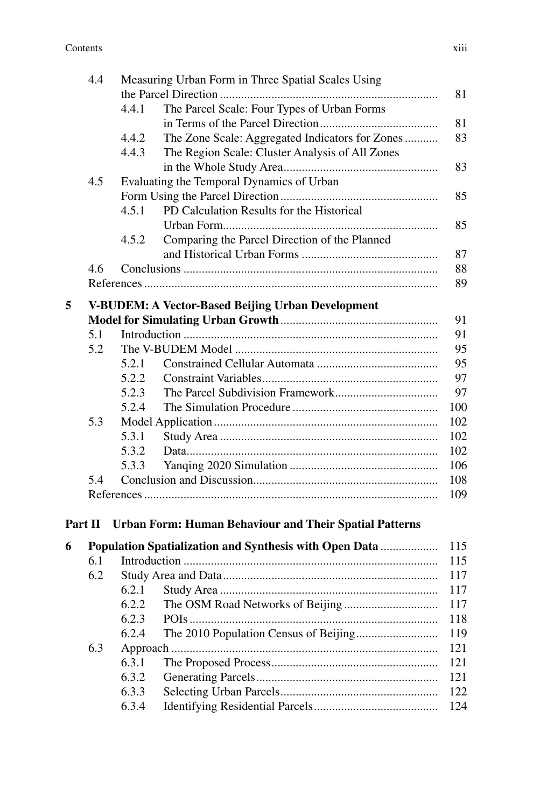|   | 4.4     | Measuring Urban Form in Three Spatial Scales Using |                                                               |     |  |  |
|---|---------|----------------------------------------------------|---------------------------------------------------------------|-----|--|--|
|   |         |                                                    |                                                               | 81  |  |  |
|   |         | 4.4.1                                              | The Parcel Scale: Four Types of Urban Forms                   |     |  |  |
|   |         |                                                    |                                                               | 81  |  |  |
|   |         | 4.4.2                                              | The Zone Scale: Aggregated Indicators for Zones               | 83  |  |  |
|   |         | 4.4.3                                              | The Region Scale: Cluster Analysis of All Zones               |     |  |  |
|   |         |                                                    |                                                               | 83  |  |  |
|   | 4.5     |                                                    | Evaluating the Temporal Dynamics of Urban                     |     |  |  |
|   |         |                                                    |                                                               | 85  |  |  |
|   |         | 4.5.1                                              | PD Calculation Results for the Historical                     |     |  |  |
|   |         |                                                    |                                                               | 85  |  |  |
|   |         | 4.5.2                                              | Comparing the Parcel Direction of the Planned                 |     |  |  |
|   |         |                                                    |                                                               | 87  |  |  |
|   | 4.6     |                                                    |                                                               | 88  |  |  |
|   |         |                                                    |                                                               | 89  |  |  |
| 5 |         |                                                    | V-BUDEM: A Vector-Based Beijing Urban Development             |     |  |  |
|   |         |                                                    |                                                               | 91  |  |  |
|   | 5.1     |                                                    |                                                               | 91  |  |  |
|   | 5.2     |                                                    |                                                               | 95  |  |  |
|   |         | 5.2.1                                              |                                                               | 95  |  |  |
|   |         | 5.2.2                                              |                                                               | 97  |  |  |
|   |         | 5.2.3                                              |                                                               | 97  |  |  |
|   |         | 5.2.4                                              |                                                               | 100 |  |  |
|   | 5.3     |                                                    |                                                               | 102 |  |  |
|   |         | 5.3.1                                              |                                                               | 102 |  |  |
|   |         | 5.3.2                                              |                                                               | 102 |  |  |
|   |         | 5.3.3                                              |                                                               | 106 |  |  |
|   | 5.4     |                                                    |                                                               | 108 |  |  |
|   |         |                                                    |                                                               | 109 |  |  |
|   |         |                                                    |                                                               |     |  |  |
|   | Part II |                                                    | <b>Urban Form: Human Behaviour and Their Spatial Patterns</b> |     |  |  |
| 6 |         |                                                    | Population Spatialization and Synthesis with Open Data        | 115 |  |  |
|   | 6.1     |                                                    |                                                               | 115 |  |  |
|   | 6.2     |                                                    |                                                               | 117 |  |  |
|   |         | 6.2.1                                              |                                                               | 117 |  |  |
|   |         | 6.2.2                                              |                                                               | 117 |  |  |
|   |         | 6.2.3                                              |                                                               | 118 |  |  |
|   |         | 6.2.4                                              |                                                               | 119 |  |  |
|   | 6.3     |                                                    |                                                               | 121 |  |  |
|   |         | 6.3.1                                              |                                                               | 121 |  |  |
|   |         | 6.3.2                                              |                                                               | 121 |  |  |
|   |         | 6.3.3                                              |                                                               | 122 |  |  |
|   |         | 6.3.4                                              |                                                               | 124 |  |  |
|   |         |                                                    |                                                               |     |  |  |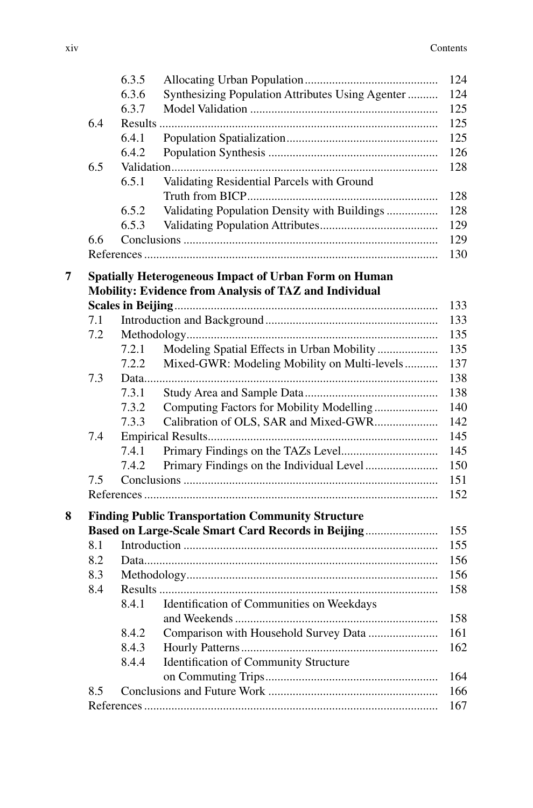|   |     | 6.3.5 |                                                          | 124 |
|---|-----|-------|----------------------------------------------------------|-----|
|   |     | 6.3.6 | Synthesizing Population Attributes Using Agenter         | 124 |
|   |     | 6.3.7 |                                                          | 125 |
|   | 6.4 |       |                                                          | 125 |
|   |     | 6.4.1 |                                                          | 125 |
|   |     | 6.4.2 |                                                          | 126 |
|   | 6.5 |       |                                                          | 128 |
|   |     | 6.5.1 | Validating Residential Parcels with Ground               |     |
|   |     |       |                                                          | 128 |
|   |     | 6.5.2 | Validating Population Density with Buildings             | 128 |
|   |     | 6.5.3 |                                                          | 129 |
|   | 6.6 |       |                                                          | 129 |
|   |     |       |                                                          | 130 |
| 7 |     |       | Spatially Heterogeneous Impact of Urban Form on Human    |     |
|   |     |       | Mobility: Evidence from Analysis of TAZ and Individual   |     |
|   |     |       |                                                          | 133 |
|   | 7.1 |       |                                                          | 133 |
|   | 7.2 |       |                                                          | 135 |
|   |     | 7.2.1 | Modeling Spatial Effects in Urban Mobility               | 135 |
|   |     | 7.2.2 | Mixed-GWR: Modeling Mobility on Multi-levels             | 137 |
|   | 7.3 |       |                                                          | 138 |
|   |     | 7.3.1 |                                                          | 138 |
|   |     | 7.3.2 |                                                          | 140 |
|   |     | 7.3.3 | Calibration of OLS, SAR and Mixed-GWR                    | 142 |
|   | 7.4 |       |                                                          | 145 |
|   |     | 7.4.1 |                                                          | 145 |
|   |     | 7.4.2 |                                                          | 150 |
|   | 7.5 |       |                                                          | 151 |
|   |     |       |                                                          | 152 |
|   |     |       |                                                          |     |
| 8 |     |       | <b>Finding Public Transportation Community Structure</b> |     |
|   |     |       | Based on Large-Scale Smart Card Records in Beijing       | 155 |
|   | 8.1 |       |                                                          | 155 |
|   | 8.2 |       |                                                          | 156 |
|   | 8.3 |       |                                                          | 156 |
|   | 8.4 |       |                                                          | 158 |
|   |     | 8.4.1 | Identification of Communities on Weekdays                |     |
|   |     |       | and Weekends                                             | 158 |
|   |     | 8.4.2 | Comparison with Household Survey Data                    | 161 |
|   |     | 8.4.3 |                                                          | 162 |
|   |     | 8.4.4 | Identification of Community Structure                    |     |
|   |     |       |                                                          | 164 |
|   | 8.5 |       |                                                          | 166 |
|   |     |       |                                                          | 167 |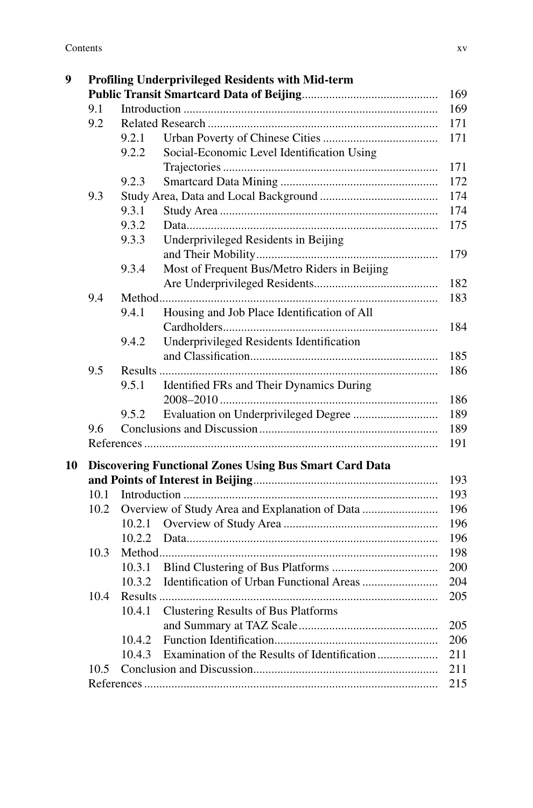| 9  |      |        | Profiling Underprivileged Residents with Mid-term             |     |
|----|------|--------|---------------------------------------------------------------|-----|
|    |      |        |                                                               | 169 |
|    | 9.1  |        |                                                               | 169 |
|    | 9.2  |        |                                                               | 171 |
|    |      | 9.2.1  |                                                               | 171 |
|    |      | 9.2.2  | Social-Economic Level Identification Using                    |     |
|    |      |        |                                                               | 171 |
|    |      | 9.2.3  |                                                               | 172 |
|    | 9.3  |        |                                                               | 174 |
|    |      | 9.3.1  |                                                               | 174 |
|    |      | 9.3.2  |                                                               | 175 |
|    |      | 9.3.3  | Underprivileged Residents in Beijing                          |     |
|    |      |        |                                                               | 179 |
|    |      | 9.3.4  | Most of Frequent Bus/Metro Riders in Beijing                  |     |
|    |      |        |                                                               | 182 |
|    | 9.4  |        |                                                               | 183 |
|    |      | 9.4.1  | Housing and Job Place Identification of All                   |     |
|    |      |        |                                                               | 184 |
|    |      | 9.4.2  | Underprivileged Residents Identification                      |     |
|    |      |        |                                                               | 185 |
|    | 9.5  |        |                                                               | 186 |
|    |      | 9.5.1  | Identified FRs and Their Dynamics During                      |     |
|    |      |        |                                                               | 186 |
|    |      | 9.5.2  |                                                               | 189 |
|    | 9.6  |        |                                                               | 189 |
|    |      |        |                                                               | 191 |
|    |      |        |                                                               |     |
| 10 |      |        | <b>Discovering Functional Zones Using Bus Smart Card Data</b> |     |
|    |      |        |                                                               | 193 |
|    | 10.1 |        |                                                               | 193 |
|    | 10.2 |        |                                                               | 196 |
|    |      | 10.2.1 |                                                               | 196 |
|    |      | 10.2.2 |                                                               | 196 |
|    | 10.3 |        |                                                               |     |
|    |      | 10.3.1 |                                                               | 200 |
|    |      | 10.3.2 |                                                               | 204 |
|    | 10.4 |        |                                                               | 205 |
|    |      | 10.4.1 | <b>Clustering Results of Bus Platforms</b>                    |     |
|    |      |        |                                                               | 205 |
|    |      | 10.4.2 |                                                               | 206 |
|    |      | 10.4.3 |                                                               | 211 |
|    | 10.5 |        |                                                               | 211 |
|    |      |        |                                                               | 215 |
|    |      |        |                                                               |     |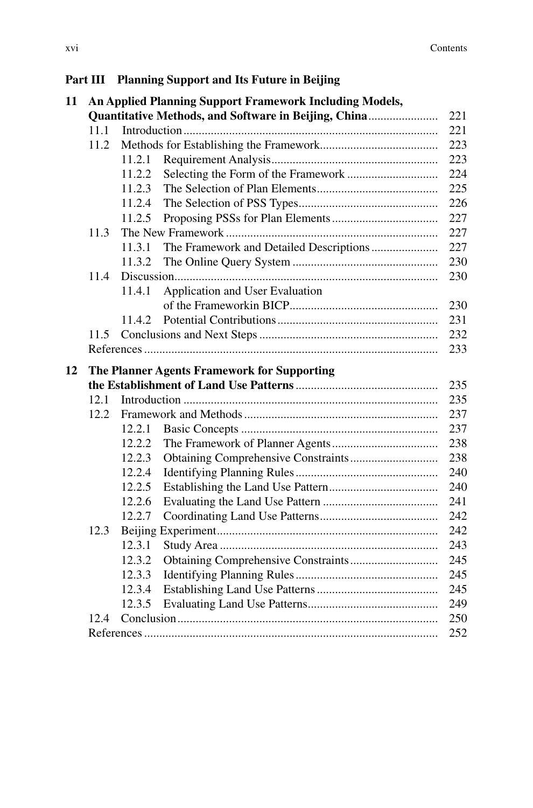| 11                                                   | An Applied Planning Support Framework Including Models,<br>221 |        |                                         |     |  |  |
|------------------------------------------------------|----------------------------------------------------------------|--------|-----------------------------------------|-----|--|--|
| Quantitative Methods, and Software in Beijing, China |                                                                |        |                                         |     |  |  |
|                                                      | 11.1                                                           |        |                                         |     |  |  |
|                                                      | 11.2                                                           |        |                                         | 223 |  |  |
|                                                      |                                                                | 11.2.1 |                                         | 223 |  |  |
|                                                      |                                                                | 11.2.2 |                                         | 224 |  |  |
|                                                      |                                                                | 11.2.3 |                                         | 225 |  |  |
|                                                      |                                                                | 11.2.4 |                                         | 226 |  |  |
|                                                      |                                                                | 11.2.5 |                                         | 227 |  |  |
|                                                      | 11.3                                                           |        |                                         | 227 |  |  |
|                                                      |                                                                | 11.3.1 | The Framework and Detailed Descriptions | 227 |  |  |
|                                                      |                                                                | 11.3.2 |                                         | 230 |  |  |
|                                                      | 11.4                                                           |        |                                         | 230 |  |  |
|                                                      |                                                                | 11.4.1 | Application and User Evaluation         |     |  |  |
|                                                      |                                                                |        |                                         | 230 |  |  |
|                                                      |                                                                | 11.4.2 |                                         | 231 |  |  |
|                                                      | 11.5                                                           |        |                                         | 232 |  |  |
|                                                      |                                                                |        |                                         | 233 |  |  |
| 12                                                   |                                                                |        |                                         |     |  |  |
|                                                      | The Planner Agents Framework for Supporting<br>235             |        |                                         |     |  |  |
|                                                      |                                                                |        |                                         |     |  |  |
|                                                      | 12.1                                                           |        |                                         |     |  |  |
|                                                      | 12.2                                                           |        |                                         | 237 |  |  |
|                                                      |                                                                | 12.2.1 |                                         | 237 |  |  |
|                                                      |                                                                | 12.2.2 |                                         | 238 |  |  |
|                                                      |                                                                | 12.2.3 |                                         | 238 |  |  |
|                                                      |                                                                | 12.2.4 |                                         | 240 |  |  |
|                                                      |                                                                | 12.2.5 |                                         | 240 |  |  |
|                                                      |                                                                | 12.2.6 |                                         | 241 |  |  |
|                                                      |                                                                | 12.2.7 |                                         | 242 |  |  |
|                                                      | 12.3                                                           |        |                                         | 242 |  |  |
|                                                      |                                                                | 12.3.1 |                                         | 243 |  |  |
|                                                      |                                                                | 12.3.2 |                                         | 245 |  |  |
|                                                      |                                                                | 12.3.3 |                                         | 245 |  |  |
|                                                      |                                                                | 12.3.4 |                                         | 245 |  |  |
|                                                      |                                                                | 12.3.5 |                                         | 249 |  |  |
|                                                      | 12.4                                                           |        |                                         | 250 |  |  |
|                                                      |                                                                |        |                                         | 252 |  |  |
|                                                      |                                                                |        |                                         |     |  |  |

#### **Part III Planning Support and Its Future in Beijing**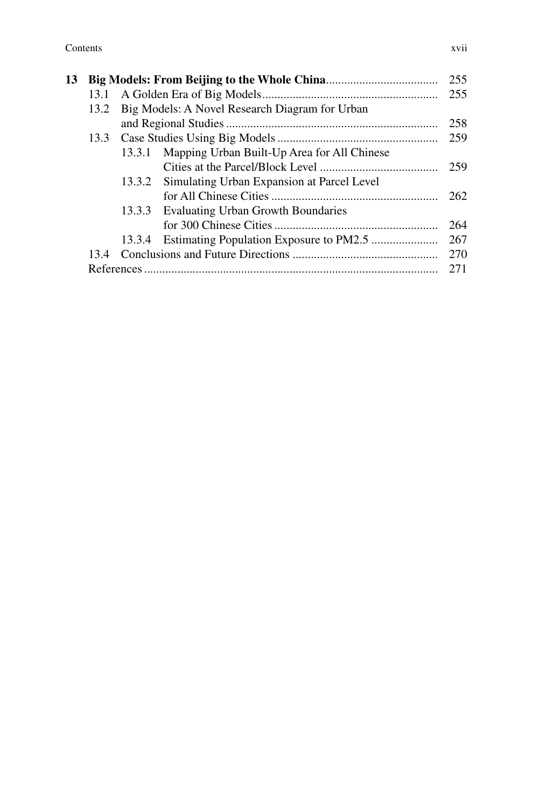| 13 |      |                                                |                                                    | 255 |  |
|----|------|------------------------------------------------|----------------------------------------------------|-----|--|
|    | 13.1 |                                                |                                                    | 255 |  |
|    | 13.2 | Big Models: A Novel Research Diagram for Urban |                                                    |     |  |
|    |      |                                                |                                                    | 258 |  |
|    |      |                                                |                                                    | 259 |  |
|    |      |                                                | 13.3.1 Mapping Urban Built-Up Area for All Chinese |     |  |
|    |      |                                                |                                                    | 259 |  |
|    |      |                                                | 13.3.2 Simulating Urban Expansion at Parcel Level  |     |  |
|    |      |                                                |                                                    | 262 |  |
|    |      |                                                | 13.3.3 Evaluating Urban Growth Boundaries          |     |  |
|    |      |                                                |                                                    | 264 |  |
|    |      |                                                | 13.3.4 Estimating Population Exposure to PM2.5     | 267 |  |
|    | 13.4 |                                                |                                                    | 270 |  |
|    | 271  |                                                |                                                    |     |  |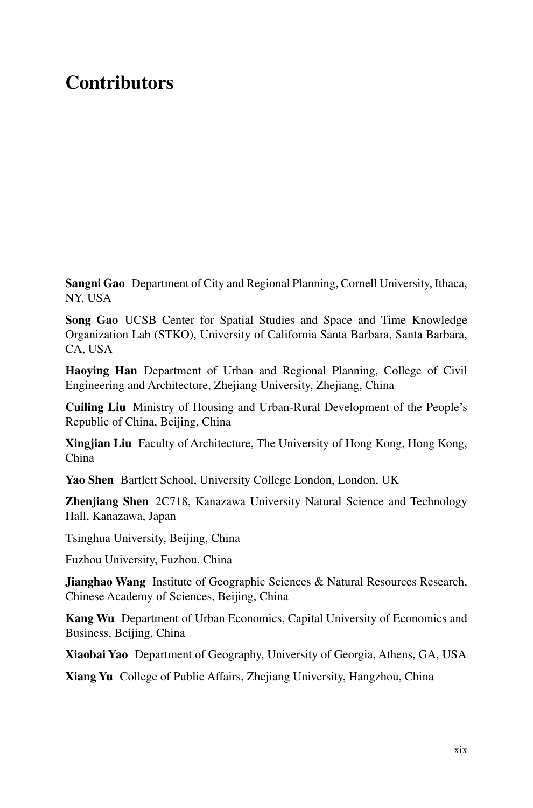### **Contributors**

**Sangni Gao** Department of City and Regional Planning, Cornell University, Ithaca, NY, USA

 **Song Gao** UCSB Center for Spatial Studies and Space and Time Knowledge Organization Lab (STKO), University of California Santa Barbara, Santa Barbara, CA. USA

 **Haoying Han** Department of Urban and Regional Planning, College of Civil Engineering and Architecture, Zhejiang University, Zhejiang, China

 **Cuiling Liu** Ministry of Housing and Urban-Rural Development of the People's Republic of China, Beijing, China

**Xingjian Liu** Faculty of Architecture, The University of Hong Kong, Hong Kong, China

Yao Shen Bartlett School, University College London, London, UK

**Zhenjiang Shen** 2C718, Kanazawa University Natural Science and Technology Hall, Kanazawa, Japan

Tsinghua University, Beijing, China

Fuzhou University, Fuzhou, China

**Jianghao Wang** Institute of Geographic Sciences & Natural Resources Research, Chinese Academy of Sciences, Beijing, China

 **Kang Wu** Department of Urban Economics , Capital University of Economics and Business, Beijing, China

 **Xiaobai Yao** Department of Geography , University of Georgia , Athens , GA , USA

**Xiang Yu** College of Public Affairs, Zhejiang University, Hangzhou, China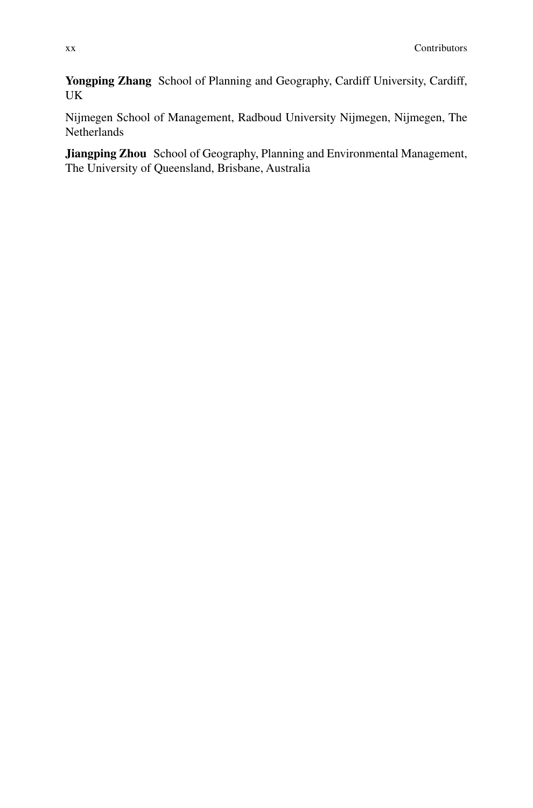**Yongping Zhang** School of Planning and Geography, Cardiff University, Cardiff, UK

Nijmegen School of Management, Radboud University Nijmegen, Nijmegen, The Netherlands

**Jiangping Zhou** School of Geography, Planning and Environmental Management, The University of Queensland, Brisbane, Australia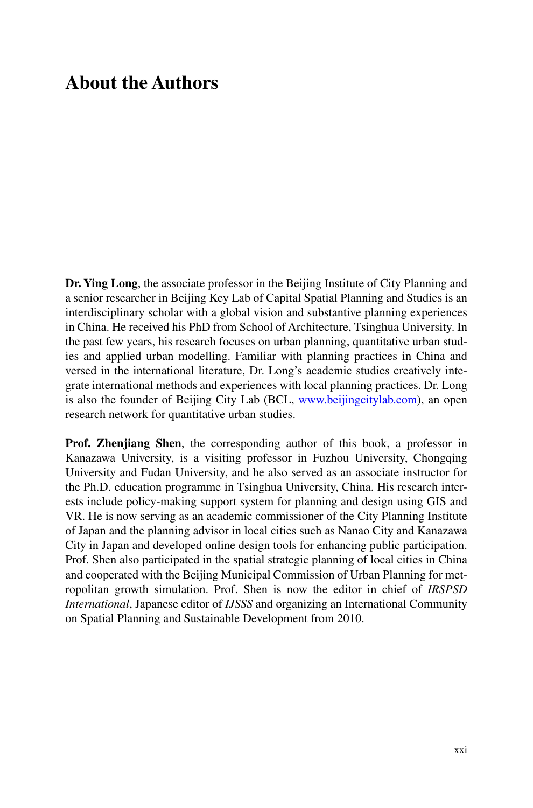#### **About the Authors**

**Dr. Ying Long** , the associate professor in the Beijing Institute of City Planning and a senior researcher in Beijing Key Lab of Capital Spatial Planning and Studies is an interdisciplinary scholar with a global vision and substantive planning experiences in China. He received his PhD from School of Architecture, Tsinghua University. In the past few years, his research focuses on urban planning, quantitative urban studies and applied urban modelling. Familiar with planning practices in China and versed in the international literature, Dr. Long's academic studies creatively integrate international methods and experiences with local planning practices. Dr. Long is also the founder of Beijing City Lab (BCL, [www.beijingcitylab.com](http://www.beijingcitylab.com)), an open research network for quantitative urban studies.

**Prof.** Zhenjiang Shen, the corresponding author of this book, a professor in Kanazawa University, is a visiting professor in Fuzhou University, Chongqing University and Fudan University, and he also served as an associate instructor for the Ph.D. education programme in Tsinghua University, China. His research interests include policy-making support system for planning and design using GIS and VR. He is now serving as an academic commissioner of the City Planning Institute of Japan and the planning advisor in local cities such as Nanao City and Kanazawa City in Japan and developed online design tools for enhancing public participation. Prof. Shen also participated in the spatial strategic planning of local cities in China and cooperated with the Beijing Municipal Commission of Urban Planning for metropolitan growth simulation. Prof. Shen is now the editor in chief of *IRSPSD International* , Japanese editor of *IJSSS* and organizing an International Community on Spatial Planning and Sustainable Development from 2010.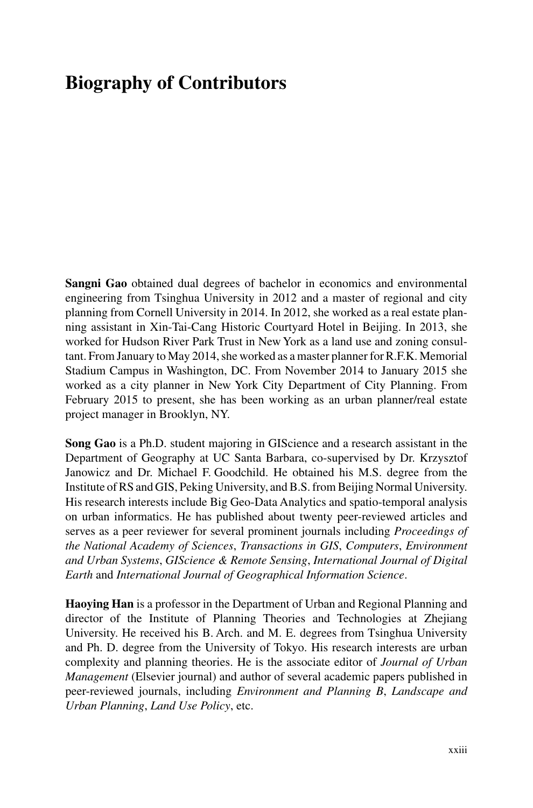### **Biography of Contributors**

 **Sangni Gao** obtained dual degrees of bachelor in economics and environmental engineering from Tsinghua University in 2012 and a master of regional and city planning from Cornell University in 2014. In 2012, she worked as a real estate planning assistant in Xin-Tai-Cang Historic Courtyard Hotel in Beijing. In 2013, she worked for Hudson River Park Trust in New York as a land use and zoning consultant. From January to May 2014, she worked as a master planner for R.F.K. Memorial Stadium Campus in Washington, DC. From November 2014 to January 2015 she worked as a city planner in New York City Department of City Planning. From February 2015 to present, she has been working as an urban planner/real estate project manager in Brooklyn, NY.

 **Song Gao** is a Ph.D. student majoring in GIScience and a research assistant in the Department of Geography at UC Santa Barbara, co-supervised by Dr. Krzysztof Janowicz and Dr. Michael F. Goodchild. He obtained his M.S. degree from the Institute of RS and GIS, Peking University, and B.S. from Beijing Normal University. His research interests include Big Geo-Data Analytics and spatio-temporal analysis on urban informatics. He has published about twenty peer-reviewed articles and serves as a peer reviewer for several prominent journals including *Proceedings of the National Academy of Sciences* , *Transactions in GIS* , *Computers* , *Environment and Urban Systems* , *GIScience & Remote Sensing* , *International Journal of Digital Earth* and *International Journal of Geographical Information Science* .

 **Haoying Han** is a professor in the Department of Urban and Regional Planning and director of the Institute of Planning Theories and Technologies at Zhejiang University. He received his B. Arch. and M. E. degrees from Tsinghua University and Ph. D. degree from the University of Tokyo. His research interests are urban complexity and planning theories. He is the associate editor of *Journal of Urban Management* (Elsevier journal) and author of several academic papers published in peer-reviewed journals, including *Environment and Planning B* , *Landscape and Urban Planning* , *Land Use Policy* , etc.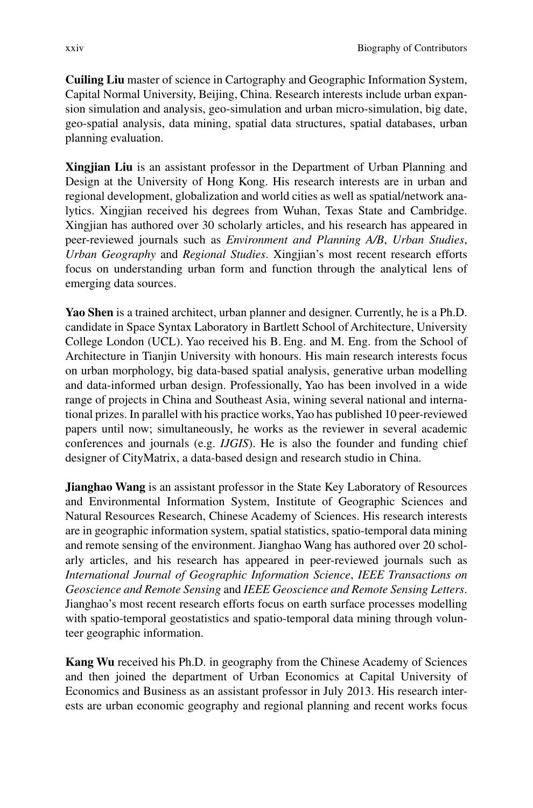**Cuiling Liu** master of science in Cartography and Geographic Information System, Capital Normal University, Beijing, China. Research interests include urban expansion simulation and analysis, geo-simulation and urban micro-simulation, big date, geo-spatial analysis, data mining, spatial data structures, spatial databases, urban planning evaluation.

 **Xingjian Liu** is an assistant professor in the Department of Urban Planning and Design at the University of Hong Kong. His research interests are in urban and regional development, globalization and world cities as well as spatial/network analytics. Xingjian received his degrees from Wuhan, Texas State and Cambridge. Xingjian has authored over 30 scholarly articles, and his research has appeared in peer-reviewed journals such as *Environment and Planning A/B*,*Urban Studies*, *Urban Geography* and *Regional Studies*. Xingjian's most recent research efforts focus on understanding urban form and function through the analytical lens of emerging data sources.

**Yao Shen** is a trained architect, urban planner and designer. Currently, he is a Ph.D. candidate in Space Syntax Laboratory in Bartlett School of Architecture, University College London (UCL). Yao received his B. Eng. and M. Eng. from the School of Architecture in Tianjin University with honours. His main research interests focus on urban morphology, big data-based spatial analysis, generative urban modelling and data-informed urban design. Professionally, Yao has been involved in a wide range of projects in China and Southeast Asia, wining several national and international prizes. In parallel with his practice works, Yao has published 10 peer-reviewed papers until now; simultaneously, he works as the reviewer in several academic conferences and journals (e.g. *IJGIS* ). He is also the founder and funding chief designer of CityMatrix, a data-based design and research studio in China.

 **Jianghao Wang** is an assistant professor in the State Key Laboratory of Resources and Environmental Information System, Institute of Geographic Sciences and Natural Resources Research, Chinese Academy of Sciences. His research interests are in geographic information system, spatial statistics, spatio-temporal data mining and remote sensing of the environment. Jianghao Wang has authored over 20 scholarly articles, and his research has appeared in peer-reviewed journals such as *International Journal of Geographic Information Science*,*IEEE Transactions on Geoscience and Remote Sensing* and *IEEE Geoscience and Remote Sensing Letters*. Jianghao's most recent research efforts focus on earth surface processes modelling with spatio-temporal geostatistics and spatio-temporal data mining through volunteer geographic information.

 **Kang Wu** received his Ph.D. in geography from the Chinese Academy of Sciences and then joined the department of Urban Economics at Capital University of Economics and Business as an assistant professor in July 2013. His research interests are urban economic geography and regional planning and recent works focus